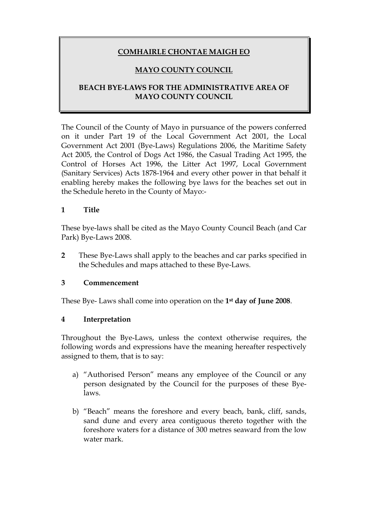# **COMHAIRLE CHONTAE MAIGH EO**

# **MAYO COUNTY COUNCIL**

## **BEACH BYE-LAWS FOR THE ADMINISTRATIVE AREA OF MAYO COUNTY COUNCIL**

The Council of the County of Mayo in pursuance of the powers conferred on it under Part 19 of the Local Government Act 2001, the Local Government Act 2001 (Bye-Laws) Regulations 2006, the Maritime Safety Act 2005, the Control of Dogs Act 1986, the Casual Trading Act 1995, the Control of Horses Act 1996, the Litter Act 1997, Local Government (Sanitary Services) Acts 1878-1964 and every other power in that behalf it enabling hereby makes the following bye laws for the beaches set out in the Schedule hereto in the County of Mayo:-

#### **1 Title**

These bye-laws shall be cited as the Mayo County Council Beach (and Car Park) Bye-Laws 2008.

**2** These Bye-Laws shall apply to the beaches and car parks specified in the Schedules and maps attached to these Bye-Laws.

#### **3 Commencement**

These Bye- Laws shall come into operation on the **1st day of June 2008**.

## **4 Interpretation**

Throughout the Bye-Laws, unless the context otherwise requires, the following words and expressions have the meaning hereafter respectively assigned to them, that is to say:

- a) "Authorised Person" means any employee of the Council or any person designated by the Council for the purposes of these Byelaws.
- b) "Beach" means the foreshore and every beach, bank, cliff, sands, sand dune and every area contiguous thereto together with the foreshore waters for a distance of 300 metres seaward from the low water mark.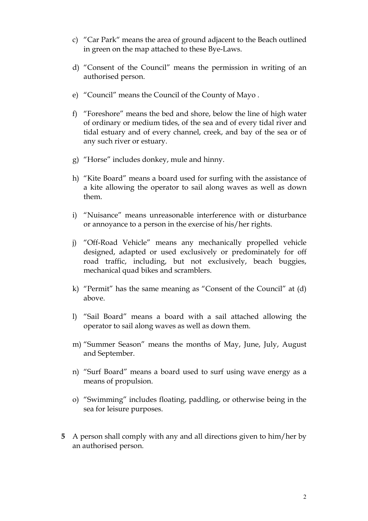- c) "Car Park" means the area of ground adjacent to the Beach outlined in green on the map attached to these Bye-Laws.
- d) "Consent of the Council" means the permission in writing of an authorised person.
- e) "Council" means the Council of the County of Mayo .
- f) "Foreshore" means the bed and shore, below the line of high water of ordinary or medium tides, of the sea and of every tidal river and tidal estuary and of every channel, creek, and bay of the sea or of any such river or estuary.
- g) "Horse" includes donkey, mule and hinny.
- h) "Kite Board" means a board used for surfing with the assistance of a kite allowing the operator to sail along waves as well as down them.
- i) "Nuisance" means unreasonable interference with or disturbance or annoyance to a person in the exercise of his/her rights.
- j) "Off-Road Vehicle" means any mechanically propelled vehicle designed, adapted or used exclusively or predominately for off road traffic, including, but not exclusively, beach buggies, mechanical quad bikes and scramblers.
- k) "Permit" has the same meaning as "Consent of the Council" at (d) above.
- l) "Sail Board" means a board with a sail attached allowing the operator to sail along waves as well as down them.
- m) "Summer Season" means the months of May, June, July, August and September.
- n) "Surf Board" means a board used to surf using wave energy as a means of propulsion.
- o) "Swimming" includes floating, paddling, or otherwise being in the sea for leisure purposes.
- **5** A person shall comply with any and all directions given to him/her by an authorised person.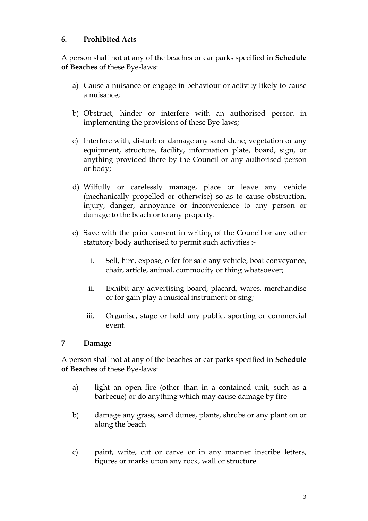## **6. Prohibited Acts**

A person shall not at any of the beaches or car parks specified in **Schedule of Beaches** of these Bye-laws:

- a) Cause a nuisance or engage in behaviour or activity likely to cause a nuisance;
- b) Obstruct, hinder or interfere with an authorised person in implementing the provisions of these Bye-laws;
- c) Interfere with, disturb or damage any sand dune, vegetation or any equipment, structure, facility, information plate, board, sign, or anything provided there by the Council or any authorised person or body;
- d) Wilfully or carelessly manage, place or leave any vehicle (mechanically propelled or otherwise) so as to cause obstruction, injury, danger, annoyance or inconvenience to any person or damage to the beach or to any property.
- e) Save with the prior consent in writing of the Council or any other statutory body authorised to permit such activities :
	- i. Sell, hire, expose, offer for sale any vehicle, boat conveyance, chair, article, animal, commodity or thing whatsoever;
	- ii. Exhibit any advertising board, placard, wares, merchandise or for gain play a musical instrument or sing;
	- iii. Organise, stage or hold any public, sporting or commercial event.

## **7 Damage**

A person shall not at any of the beaches or car parks specified in **Schedule of Beaches** of these Bye-laws:

- a) light an open fire (other than in a contained unit, such as a barbecue) or do anything which may cause damage by fire
- b) damage any grass, sand dunes, plants, shrubs or any plant on or along the beach
- c) paint, write, cut or carve or in any manner inscribe letters, figures or marks upon any rock, wall or structure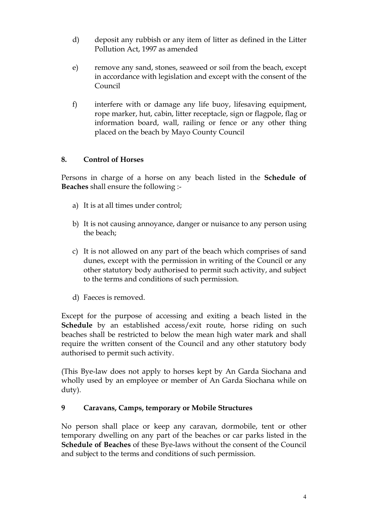- d) deposit any rubbish or any item of litter as defined in the Litter Pollution Act, 1997 as amended
- e) remove any sand, stones, seaweed or soil from the beach, except in accordance with legislation and except with the consent of the Council
- f) interfere with or damage any life buoy, lifesaving equipment, rope marker, hut, cabin, litter receptacle, sign or flagpole, flag or information board, wall, railing or fence or any other thing placed on the beach by Mayo County Council

# **8. Control of Horses**

Persons in charge of a horse on any beach listed in the **Schedule of Beaches** shall ensure the following :-

- a) It is at all times under control;
- b) It is not causing annoyance, danger or nuisance to any person using the beach;
- c) It is not allowed on any part of the beach which comprises of sand dunes, except with the permission in writing of the Council or any other statutory body authorised to permit such activity, and subject to the terms and conditions of such permission.
- d) Faeces is removed.

Except for the purpose of accessing and exiting a beach listed in the **Schedule** by an established access/exit route, horse riding on such beaches shall be restricted to below the mean high water mark and shall require the written consent of the Council and any other statutory body authorised to permit such activity.

(This Bye-law does not apply to horses kept by An Garda Siochana and wholly used by an employee or member of An Garda Siochana while on duty).

## **9 Caravans, Camps, temporary or Mobile Structures**

No person shall place or keep any caravan, dormobile, tent or other temporary dwelling on any part of the beaches or car parks listed in the **Schedule of Beaches** of these Bye-laws without the consent of the Council and subject to the terms and conditions of such permission.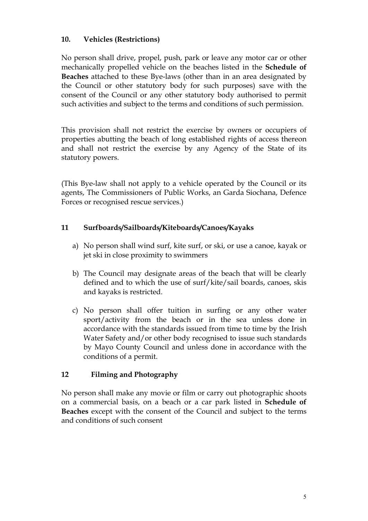## **10. Vehicles (Restrictions)**

No person shall drive, propel, push, park or leave any motor car or other mechanically propelled vehicle on the beaches listed in the **Schedule of Beaches** attached to these Bye-laws (other than in an area designated by the Council or other statutory body for such purposes) save with the consent of the Council or any other statutory body authorised to permit such activities and subject to the terms and conditions of such permission.

This provision shall not restrict the exercise by owners or occupiers of properties abutting the beach of long established rights of access thereon and shall not restrict the exercise by any Agency of the State of its statutory powers.

(This Bye-law shall not apply to a vehicle operated by the Council or its agents, The Commissioners of Public Works, an Garda Siochana, Defence Forces or recognised rescue services.)

## **11 Surfboards/Sailboards/Kiteboards/Canoes/Kayaks**

- a) No person shall wind surf, kite surf, or ski, or use a canoe, kayak or jet ski in close proximity to swimmers
- b) The Council may designate areas of the beach that will be clearly defined and to which the use of surf/kite/sail boards, canoes, skis and kayaks is restricted.
- c) No person shall offer tuition in surfing or any other water sport/activity from the beach or in the sea unless done in accordance with the standards issued from time to time by the Irish Water Safety and/or other body recognised to issue such standards by Mayo County Council and unless done in accordance with the conditions of a permit.

## **12 Filming and Photography**

No person shall make any movie or film or carry out photographic shoots on a commercial basis, on a beach or a car park listed in **Schedule of Beaches** except with the consent of the Council and subject to the terms and conditions of such consent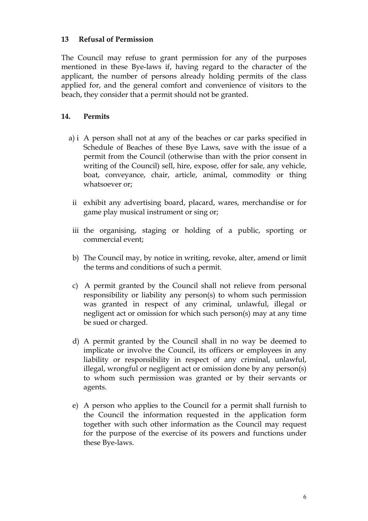### **13 Refusal of Permission**

The Council may refuse to grant permission for any of the purposes mentioned in these Bye-laws if, having regard to the character of the applicant, the number of persons already holding permits of the class applied for, and the general comfort and convenience of visitors to the beach, they consider that a permit should not be granted.

## **14. Permits**

- a) i A person shall not at any of the beaches or car parks specified in Schedule of Beaches of these Bye Laws, save with the issue of a permit from the Council (otherwise than with the prior consent in writing of the Council) sell, hire, expose, offer for sale, any vehicle, boat, conveyance, chair, article, animal, commodity or thing whatsoever or;
	- ii exhibit any advertising board, placard, wares, merchandise or for game play musical instrument or sing or;
- iii the organising, staging or holding of a public, sporting or commercial event;
- b) The Council may, by notice in writing, revoke, alter, amend or limit the terms and conditions of such a permit.
- c) A permit granted by the Council shall not relieve from personal responsibility or liability any person(s) to whom such permission was granted in respect of any criminal, unlawful, illegal or negligent act or omission for which such person(s) may at any time be sued or charged.
- d) A permit granted by the Council shall in no way be deemed to implicate or involve the Council, its officers or employees in any liability or responsibility in respect of any criminal, unlawful, illegal, wrongful or negligent act or omission done by any person(s) to whom such permission was granted or by their servants or agents.
- e) A person who applies to the Council for a permit shall furnish to the Council the information requested in the application form together with such other information as the Council may request for the purpose of the exercise of its powers and functions under these Bye-laws.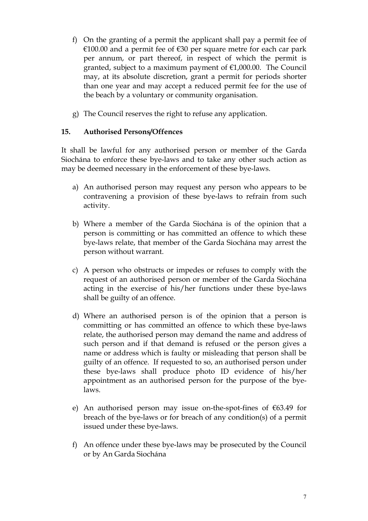- f) On the granting of a permit the applicant shall pay a permit fee of €100.00 and a permit fee of €30 per square metre for each car park per annum, or part thereof, in respect of which the permit is granted, subject to a maximum payment of €1,000.00. The Council may, at its absolute discretion, grant a permit for periods shorter than one year and may accept a reduced permit fee for the use of the beach by a voluntary or community organisation.
- g) The Council reserves the right to refuse any application.

## **15. Authorised Persons/Offences**

It shall be lawful for any authorised person or member of the Garda Siochána to enforce these bye-laws and to take any other such action as may be deemed necessary in the enforcement of these bye-laws.

- a) An authorised person may request any person who appears to be contravening a provision of these bye-laws to refrain from such activity.
- b) Where a member of the Garda Siochána is of the opinion that a person is committing or has committed an offence to which these bye-laws relate, that member of the Garda Siochána may arrest the person without warrant.
- c) A person who obstructs or impedes or refuses to comply with the request of an authorised person or member of the Garda Siochána acting in the exercise of his/her functions under these bye-laws shall be guilty of an offence.
- d) Where an authorised person is of the opinion that a person is committing or has committed an offence to which these bye-laws relate, the authorised person may demand the name and address of such person and if that demand is refused or the person gives a name or address which is faulty or misleading that person shall be guilty of an offence.If requested to so, an authorised person under these bye-laws shall produce photo ID evidence of his/her appointment as an authorised person for the purpose of the byelaws.
- e) An authorised person may issue on-the-spot-fines of  $€63.49$  for breach of the bye-laws or for breach of any condition(s) of a permit issued under these bye-laws.
- f) An offence under these bye-laws may be prosecuted by the Council or by An Garda Siochána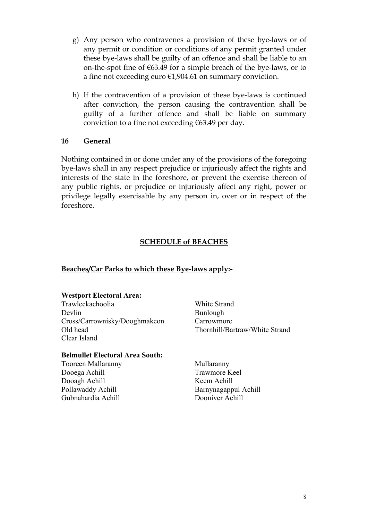- g) Any person who contravenes a provision of these bye-laws or of any permit or condition or conditions of any permit granted under these bye-laws shall be guilty of an offence and shall be liable to an on-the-spot fine of €63.49 for a simple breach of the bye-laws, or to a fine not exceeding euro €1,904.61 on summary conviction.
- h) If the contravention of a provision of these bye-laws is continued after conviction, the person causing the contravention shall be guilty of a further offence and shall be liable on summary conviction to a fine not exceeding  $€63.49$  per day.

#### **16 General**

Nothing contained in or done under any of the provisions of the foregoing bye-laws shall in any respect prejudice or injuriously affect the rights and interests of the state in the foreshore, or prevent the exercise thereon of any public rights, or prejudice or injuriously affect any right, power or privilege legally exercisable by any person in, over or in respect of the foreshore.

## **SCHEDULE of BEACHES**

#### **Beaches/Car Parks to which these Bye-laws apply:-**

#### **Westport Electoral Area:**

Trawleckachoolia White Strand Devlin Bunlough Cross/Carrownisky/Dooghmakeon Carrowmore Old head Thornhill/Bartraw/White Strand Clear Island

#### **Belmullet Electoral Area South:**

Tooreen Mallaranny Mullaranny Dooega Achill Trawmore Keel Dooagh Achill Keem Achill Gubnahardia Achill Dooniver Achill

Pollawaddy Achill Barnynagappul Achill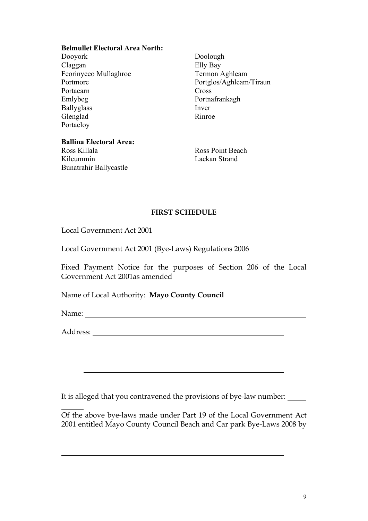#### **Belmullet Electoral Area North:**

Dooyork Doolough<br>Claggan Elly Bay Feorinyeeo Mullaghroe Portacarn Cross<br>Emlybeg Portna Ballyglass Inver<br>Glenglad Rinroe Glenglad Portacloy

Elly Bay<br>Termon Aghleam Portmore Portglos/Aghleam/Tiraun Portnafrankagh

**Ballina Electoral Area:** Ross Killala Ross Point Beach<br>
Kilcummin Lackan Strand

Bunatrahir Ballycastle

Lackan Strand

#### **FIRST SCHEDULE**

Local Government Act 2001

Local Government Act 2001 (Bye-Laws) Regulations 2006

Fixed Payment Notice for the purposes of Section 206 of the Local Government Act 2001as amended

Name of Local Authority: **Mayo County Council**

Name:

Address:

It is alleged that you contravened the provisions of bye-law number:

Of the above bye-laws made under Part 19 of the Local Government Act 2001 entitled Mayo County Council Beach and Car park Bye-Laws 2008 by